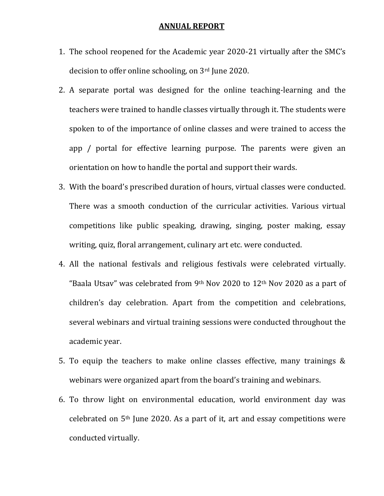## ANNUAL REPORT

- 1. The school reopened for the Academic year 2020-21 virtually after the SMC's decision to offer online schooling, on 3rd June 2020.
- 2. A separate portal was designed for the online teaching-learning and the teachers were trained to handle classes virtually through it. The students were spoken to of the importance of online classes and were trained to access the app / portal for effective learning purpose. The parents were given an orientation on how to handle the portal and support their wards.
- 3. With the board's prescribed duration of hours, virtual classes were conducted. There was a smooth conduction of the curricular activities. Various virtual competitions like public speaking, drawing, singing, poster making, essay writing, quiz, floral arrangement, culinary art etc. were conducted.
- 4. All the national festivals and religious festivals were celebrated virtually. "Baala Utsay" was celebrated from 9<sup>th</sup> Nov 2020 to  $12<sup>th</sup>$  Nov 2020 as a part of children's day celebration. Apart from the competition and celebrations, several webinars and virtual training sessions were conducted throughout the academic year.
- 5. To equip the teachers to make online classes effective, many trainings & webinars were organized apart from the board's training and webinars.
- 6. To throw light on environmental education, world environment day was celebrated on 5th June 2020. As a part of it, art and essay competitions were conducted virtually.